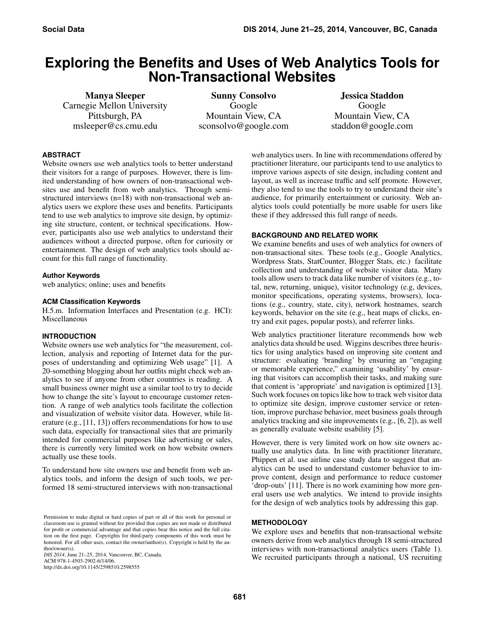# **Exploring the Benefits and Uses of Web Analytics Tools for Non-Transactional Websites**

Manya Sleeper Carnegie Mellon University Pittsburgh, PA msleeper@cs.cmu.edu

Sunny Consolvo Google Mountain View, CA sconsolvo@google.com

Jessica Staddon Google Mountain View, CA staddon@google.com

#### **ABSTRACT**

Website owners use web analytics tools to better understand their visitors for a range of purposes. However, there is limited understanding of how owners of non-transactional websites use and benefit from web analytics. Through semistructured interviews (n=18) with non-transactional web analytics users we explore these uses and benefits. Participants tend to use web analytics to improve site design, by optimizing site structure, content, or technical specifications. However, participants also use web analytics to understand their audiences without a directed purpose, often for curiosity or entertainment. The design of web analytics tools should account for this full range of functionality.

#### **Author Keywords**

web analytics; online; uses and benefits

#### **ACM Classification Keywords**

H.5.m. Information Interfaces and Presentation (e.g. HCI): Miscellaneous

#### **INTRODUCTION**

Website owners use web analytics for "the measurement, collection, analysis and reporting of Internet data for the purposes of understanding and optimizing Web usage" [\[1\]](#page-3-0). A 20-something blogging about her outfits might check web analytics to see if anyone from other countries is reading. A small business owner might use a similar tool to try to decide how to change the site's layout to encourage customer retention. A range of web analytics tools facilitate the collection and visualization of website visitor data. However, while literature (e.g., [\[11,](#page-3-1) [13\]](#page-3-2)) offers recommendations for how to use such data, especially for transactional sites that are primarily intended for commercial purposes like advertising or sales, there is currently very limited work on how website owners actually use these tools.

To understand how site owners use and benefit from web analytics tools, and inform the design of such tools, we performed 18 semi-structured interviews with non-transactional

*DIS 2014*, June 21–25, 2014, Vancouver, BC, Canada. ACM 978-1-4503-2902-6/14/06.

http://dx.doi.org/10.1145/2598510.2598555

web analytics users. In line with recommendations offered by practitioner literature, our participants tend to use analytics to improve various aspects of site design, including content and layout, as well as increase traffic and self promote. However, they also tend to use the tools to try to understand their site's audience, for primarily entertainment or curiosity. Web analytics tools could potentially be more usable for users like these if they addressed this full range of needs.

#### **BACKGROUND AND RELATED WORK**

We examine benefits and uses of web analytics for owners of non-transactional sites. These tools (e.g., Google Analytics, Wordpress Stats, StatCounter, Blogger Stats, etc.) facilitate collection and understanding of website visitor data. Many tools allow users to track data like number of visitors (e.g., total, new, returning, unique), visitor technology (e.g, devices, monitor specifications, operating systems, browsers), locations (e.g., country, state, city), network hostnames, search keywords, behavior on the site (e.g., heat maps of clicks, entry and exit pages, popular posts), and referrer links.

Web analytics practitioner literature recommends how web analytics data should be used. Wiggins describes three heuristics for using analytics based on improving site content and structure: evaluating 'branding' by ensuring an "engaging or memorable experience," examining 'usability' by ensuring that visitors can accomplish their tasks, and making sure that content is 'appropriate' and navigation is optimized [\[13\]](#page-3-2). Such work focuses on topics like how to track web visitor data to optimize site design, improve customer service or retention, improve purchase behavior, meet business goals through analytics tracking and site improvements (e.g., [\[6,](#page-3-3) [2\]](#page-3-4)), as well as generally evaluate website usability [\[5\]](#page-3-5).

However, there is very limited work on how site owners actually use analytics data. In line with practitioner literature, Phippen et al. use airline case study data to suggest that analytics can be used to understand customer behavior to improve content, design and performance to reduce customer 'drop-outs' [\[11\]](#page-3-1). There is no work examining how more general users use web analytics. We intend to provide insights for the design of web analytics tools by addressing this gap.

#### **METHODOLOGY**

We explore uses and benefits that non-transactional website owners derive from web analytics through 18 semi-structured interviews with non-transactional analytics users (Table [1\)](#page-1-0). We recruited participants through a national, US recruiting

Permission to make digital or hard copies of part or all of this work for personal or classroom use is granted without fee provided that copies are not made or distributed for profit or commercial advantage and that copies bear this notice and the full citation on the first page. Copyrights for third-party components of this work must be honored. For all other uses, contact the owner/author(s). Copyright is held by the author/owner(s).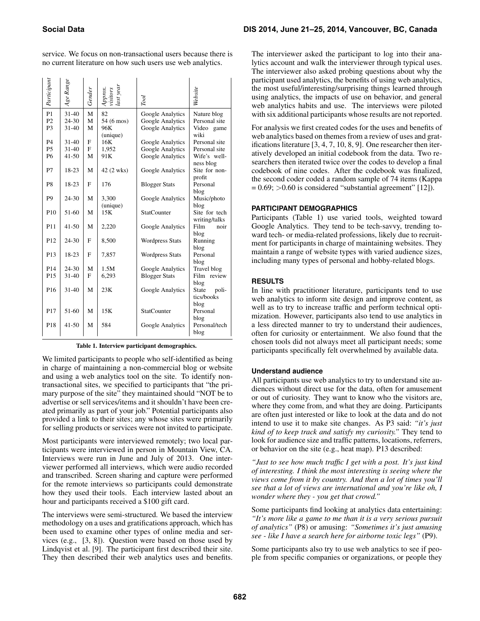service. We focus on non-transactional users because there is no current literature on how such users use web analytics.

| Participant                                        | Age Range                           | Gender      | visitors<br>last year<br>Approx.    | Tool                                                     | Website                                                     |
|----------------------------------------------------|-------------------------------------|-------------|-------------------------------------|----------------------------------------------------------|-------------------------------------------------------------|
| P <sub>1</sub><br>P <sub>2</sub><br>P <sub>3</sub> | $31 - 40$<br>$24 - 30$<br>$31 - 40$ | M<br>M<br>M | 82<br>54 (6 mos)<br>96K<br>(unique) | Google Analytics<br>Google Analytics<br>Google Analytics | Nature blog<br>Personal site<br>Video game<br>wiki          |
| <b>P4</b><br>P <sub>5</sub><br>P6                  | $31 - 40$<br>$31 - 40$<br>$41 - 50$ | F<br>F<br>М | 16K<br>1,952<br>91K                 | Google Analytics<br>Google Analytics<br>Google Analytics | Personal site<br>Personal site<br>Wife's well-<br>ness blog |
| P7                                                 | 18-23                               | M           | 42 (2 wks)                          | Google Analytics                                         | Site for non-<br>profit                                     |
| P <sub>8</sub>                                     | 18-23                               | F           | 176                                 | <b>Blogger Stats</b>                                     | Personal                                                    |
| P <sub>9</sub>                                     | 24-30                               | М           | 3.300<br>(unique)                   | Google Analytics                                         | blog<br>Music/photo<br>blog                                 |
| P <sub>10</sub>                                    | $51-60$                             | M           | 15K                                 | <b>StatCounter</b>                                       | Site for tech                                               |
| P <sub>11</sub>                                    | 41-50                               | М           | 2,220                               | Google Analytics                                         | writing/talks<br>Film<br>noir<br>blog                       |
| P <sub>12</sub>                                    | $24 - 30$                           | F           | 8,500                               | <b>Wordpress Stats</b>                                   | Running                                                     |
| P <sub>13</sub>                                    | 18-23                               | F           | 7,857                               | <b>Wordpress Stats</b>                                   | blog<br>Personal<br>blog                                    |
| P <sub>14</sub><br>P <sub>15</sub>                 | 24-30<br>$31 - 40$                  | M<br>F      | 1.5M<br>6,293                       | Google Analytics<br><b>Blogger Stats</b>                 | Travel blog<br>Film review<br>blog                          |
| P <sub>16</sub>                                    | $31 - 40$                           | M           | 23K                                 | Google Analytics                                         | <b>State</b><br>poli-<br>tics/books<br>blog                 |
| P <sub>17</sub>                                    | 51-60                               | М           | 15K                                 | <b>StatCounter</b>                                       | Personal                                                    |
| P <sub>18</sub>                                    | $41 - 50$                           | М           | 584                                 | Google Analytics                                         | blog<br>Personal/tech<br>blog                               |

<span id="page-1-0"></span>Table 1. Interview participant demographics.

We limited participants to people who self-identified as being in charge of maintaining a non-commercial blog or website and using a web analytics tool on the site. To identify nontransactional sites, we specified to participants that "the primary purpose of the site" they maintained should "NOT be to advertise or sell services/items and it shouldn't have been created primarily as part of your job." Potential participants also provided a link to their sites; any whose sites were primarily for selling products or services were not invited to participate.

Most participants were interviewed remotely; two local participants were interviewed in person in Mountain View, CA. Interviews were run in June and July of 2013. One interviewer performed all interviews, which were audio recorded and transcribed. Screen sharing and capture were performed for the remote interviews so participants could demonstrate how they used their tools. Each interview lasted about an hour and participants received a \$100 gift card.

The interviews were semi-structured. We based the interview methodology on a uses and gratifications approach, which has been used to examine other types of online media and services (e.g., [\[3,](#page-3-6) [8\]](#page-3-7)). Question were based on those used by Lindqvist et al. [\[9\]](#page-3-8). The participant first described their site. They then described their web analytics uses and benefits.

The interviewer asked the participant to log into their analytics account and walk the interviewer through typical uses. The interviewer also asked probing questions about why the participant used analytics, the benefits of using web analytics, the most useful/interesting/surprising things learned through using analytics, the impacts of use on behavior, and general web analytics habits and use. The interviews were piloted with six additional participants whose results are not reported.

For analysis we first created codes for the uses and benefits of web analytics based on themes from a review of uses and gratifications literature [\[3,](#page-3-6) [4,](#page-3-9) [7,](#page-3-10) [10,](#page-3-11) [8,](#page-3-7) [9\]](#page-3-8). One researcher then iteratively developed an initial codebook from the data. Two researchers then iterated twice over the codes to develop a final codebook of nine codes. After the codebook was finalized, the second coder coded a random sample of 74 items (Kappa = 0.69; *>*0.60 is considered "substantial agreement" [\[12\]](#page-3-12)).

#### **PARTICIPANT DEMOGRAPHICS**

Participants (Table [1\)](#page-1-0) use varied tools, weighted toward Google Analytics. They tend to be tech-savvy, trending toward tech- or media-related professions, likely due to recruitment for participants in charge of maintaining websites. They maintain a range of website types with varied audience sizes, including many types of personal and hobby-related blogs.

### **RESULTS**

In line with practitioner literature, participants tend to use web analytics to inform site design and improve content, as well as to try to increase traffic and perform technical optimization. However, participants also tend to use analytics in a less directed manner to try to understand their audiences, often for curiosity or entertainment. We also found that the chosen tools did not always meet all participant needs; some participants specifically felt overwhelmed by available data.

#### **Understand audience**

All participants use web analytics to try to understand site audiences without direct use for the data, often for amusement or out of curiosity. They want to know who the visitors are, where they come from, and what they are doing. Participants are often just interested or like to look at the data and do not intend to use it to make site changes. As P3 said: *"it's just kind of to keep track and satisfy my curiosity."* They tend to look for audience size and traffic patterns, locations, referrers, or behavior on the site (e.g., heat map). P13 described:

*"Just to see how much traffic I get with a post. It's just kind of interesting. I think the most interesting is seeing where the views come from it by country. And then a lot of times you'll see that a lot of views are international and you're like oh, I wonder where they - you get that crowd."*

Some participants find looking at analytics data entertaining: *"It's more like a game to me than it is a very serious pursuit of analytics"* (P8) or amusing: *"Sometimes it's just amusing see - like I have a search here for airborne toxic legs"* (P9).

Some participants also try to use web analytics to see if people from specific companies or organizations, or people they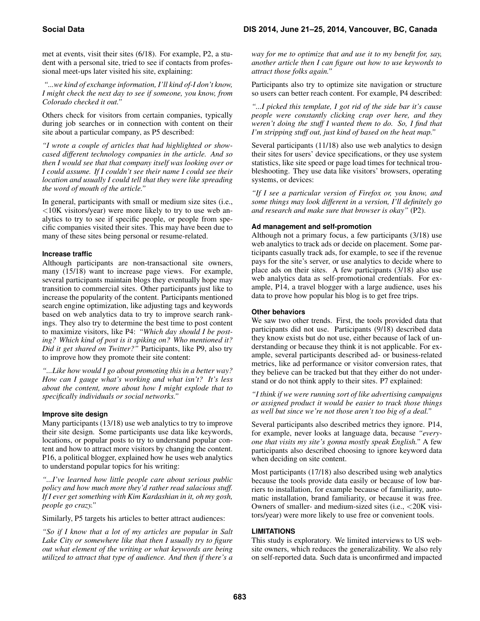#### **Social Data DIS 2014, June 21–25, 2014, Vancouver, BC, Canada**

met at events, visit their sites (6/18). For example, P2, a student with a personal site, tried to see if contacts from professional meet-ups later visited his site, explaining:

*"...we kind of exchange information, I'll kind of-I don't know, I might check the next day to see if someone, you know, from Colorado checked it out."*

Others check for visitors from certain companies, typically during job searches or in connection with content on their site about a particular company, as P5 described:

*"I wrote a couple of articles that had highlighted or showcased different technology companies in the article. And so then I would see that that company itself was looking over or I could assume. If I couldn't see their name I could see their location and usually I could tell that they were like spreading the word of mouth of the article."*

In general, participants with small or medium size sites (i.e., *<*10K visitors/year) were more likely to try to use web analytics to try to see if specific people, or people from specific companies visited their sites. This may have been due to many of these sites being personal or resume-related.

#### **Increase traffic**

Although participants are non-transactional site owners, many (15/18) want to increase page views. For example, several participants maintain blogs they eventually hope may transition to commercial sites. Other participants just like to increase the popularity of the content. Participants mentioned search engine optimization, like adjusting tags and keywords based on web analytics data to try to improve search rankings. They also try to determine the best time to post content to maximize visitors, like P4: *"Which day should I be posting? Which kind of post is it spiking on? Who mentioned it? Did it get shared on Twitter?"* Participants, like P9, also try to improve how they promote their site content:

*"...Like how would I go about promoting this in a better way? How can I gauge what's working and what isn't? It's less about the content, more about how I might explode that to specifically individuals or social networks."*

#### **Improve site design**

Many participants (13/18) use web analytics to try to improve their site design. Some participants use data like keywords, locations, or popular posts to try to understand popular content and how to attract more visitors by changing the content. P16, a political blogger, explained how he uses web analytics to understand popular topics for his writing:

*"...I've learned how little people care about serious public policy and how much more they'd rather read salacious stuff. If I ever get something with Kim Kardashian in it, oh my gosh, people go crazy."*

Similarly, P5 targets his articles to better attract audiences:

*"So if I know that a lot of my articles are popular in Salt Lake City or somewhere like that then I usually try to figure out what element of the writing or what keywords are being utilized to attract that type of audience. And then if there's a*

*way for me to optimize that and use it to my benefit for, say, another article then I can figure out how to use keywords to attract those folks again."*

Participants also try to optimize site navigation or structure so users can better reach content. For example, P4 described:

*"...I picked this template, I got rid of the side bar it's cause people were constantly clicking crap over here, and they weren't doing the stuff I wanted them to do. So, I find that I'm stripping stuff out, just kind of based on the heat map."*

Several participants (11/18) also use web analytics to design their sites for users' device specifications, or they use system statistics, like site speed or page load times for technical troubleshooting. They use data like visitors' browsers, operating systems, or devices:

*"If I see a particular version of Firefox or, you know, and some things may look different in a version, I'll definitely go and research and make sure that browser is okay"* (P2).

#### **Ad management and self-promotion**

Although not a primary focus, a few participants (3/18) use web analytics to track ads or decide on placement. Some participants casually track ads, for example, to see if the revenue pays for the site's server, or use analytics to decide where to place ads on their sites. A few participants (3/18) also use web analytics data as self-promotional credentials. For example, P14, a travel blogger with a large audience, uses his data to prove how popular his blog is to get free trips.

#### **Other behaviors**

We saw two other trends. First, the tools provided data that participants did not use. Participants (9/18) described data they know exists but do not use, either because of lack of understanding or because they think it is not applicable. For example, several participants described ad- or business-related metrics, like ad performance or visitor conversion rates, that they believe can be tracked but that they either do not understand or do not think apply to their sites. P7 explained:

*"I think if we were running sort of like advertising campaigns or assigned product it would be easier to track those things as well but since we're not those aren't too big of a deal."*

Several participants also described metrics they ignore. P14, for example, never looks at language data, because *"everyone that visits my site's gonna mostly speak English."* A few participants also described choosing to ignore keyword data when deciding on site content.

Most participants (17/18) also described using web analytics because the tools provide data easily or because of low barriers to installation, for example because of familiarity, automatic installation, brand familiarity, or because it was free. Owners of smaller- and medium-sized sites (i.e., *<*20K visitors/year) were more likely to use free or convenient tools.

#### **LIMITATIONS**

This study is exploratory. We limited interviews to US website owners, which reduces the generalizability. We also rely on self-reported data. Such data is unconfirmed and impacted